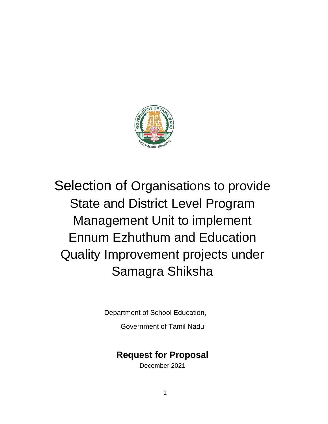

# Selection of Organisations to provide State and District Level Program Management Unit to implement Ennum Ezhuthum and Education Quality Improvement projects under Samagra Shiksha

Department of School Education,

Government of Tamil Nadu

# **Request for Proposal**

December 2021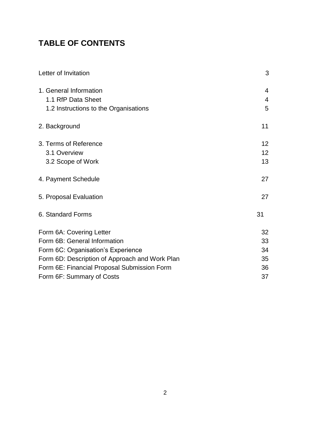# **TABLE OF CONTENTS**

| Letter of Invitation                           | 3               |
|------------------------------------------------|-----------------|
| 1. General Information                         | 4               |
| 1.1 RfP Data Sheet                             | $\overline{4}$  |
| 1.2 Instructions to the Organisations          | 5               |
| 2. Background                                  | 11              |
| 3. Terms of Reference                          | 12 <sup>2</sup> |
| 3.1 Overview                                   | 12 <sup>2</sup> |
| 3.2 Scope of Work                              | 13              |
| 4. Payment Schedule                            | 27              |
| 5. Proposal Evaluation                         | 27              |
| 6. Standard Forms                              | 31              |
| Form 6A: Covering Letter                       | 32              |
| Form 6B: General Information                   | 33              |
| Form 6C: Organisation's Experience             | 34              |
| Form 6D: Description of Approach and Work Plan | 35              |
| Form 6E: Financial Proposal Submission Form    | 36              |
| Form 6F: Summary of Costs                      | 37              |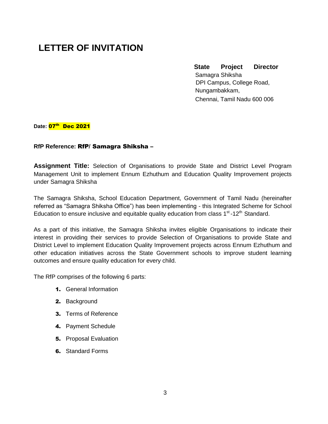# **LETTER OF INVITATION**

### **State Project Director**  Samagra Shiksha DPI Campus, College Road, Nungambakkam, Chennai, Tamil Nadu 600 006

Date: **07<sup>th</sup> Dec 2021** 

#### **RfP Reference:** RfP/ Samagra Shiksha –

**Assignment Title:** Selection of Organisations to provide State and District Level Program Management Unit to implement Ennum Ezhuthum and Education Quality Improvement projects under Samagra Shiksha

The Samagra Shiksha, School Education Department, Government of Tamil Nadu (hereinafter referred as "Samagra Shiksha Office") has been implementing - this Integrated Scheme for School Education to ensure inclusive and equitable quality education from class  $1<sup>st</sup>$ -12<sup>th</sup> Standard.

As a part of this initiative, the Samagra Shiksha invites eligible Organisations to indicate their interest in providing their services to provide Selection of Organisations to provide State and District Level to implement Education Quality Improvement projects across Ennum Ezhuthum and other education initiatives across the State Government schools to improve student learning outcomes and ensure quality education for every child.

The RfP comprises of the following 6 parts:

- 1. General Information
- 2. Background
- 3. Terms of Reference
- 4. Payment Schedule
- **5.** Proposal Evaluation
- **6.** Standard Forms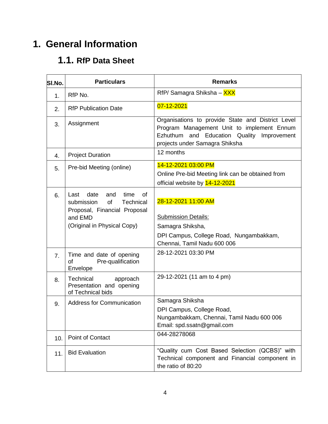# **1. General Information**

# **1.1. RfP Data Sheet**

| SI.No. | <b>Particulars</b>                                                                                                                           | <b>Remarks</b>                                                                                                                                                                  |
|--------|----------------------------------------------------------------------------------------------------------------------------------------------|---------------------------------------------------------------------------------------------------------------------------------------------------------------------------------|
| 1.     | RfP No.                                                                                                                                      | RfP/ Samagra Shiksha - XXX                                                                                                                                                      |
| 2.     | <b>RfP Publication Date</b>                                                                                                                  | 07-12-2021                                                                                                                                                                      |
| 3.     | Assignment                                                                                                                                   | Organisations to provide State and District Level<br>Program Management Unit to implement Ennum<br>Ezhuthum and Education Quality Improvement<br>projects under Samagra Shiksha |
| 4.     | <b>Project Duration</b>                                                                                                                      | 12 months                                                                                                                                                                       |
| 5.     | Pre-bid Meeting (online)                                                                                                                     | 14-12-2021 03:00 PM<br>Online Pre-bid Meeting link can be obtained from<br>official website by 14-12-2021                                                                       |
| 6.     | date<br>time<br>Last<br>and<br>0f<br>of<br>submission<br>Technical<br>Proposal, Financial Proposal<br>and EMD<br>(Original in Physical Copy) | 28-12-2021 11:00 AM<br><b>Submission Details:</b><br>Samagra Shiksha,<br>DPI Campus, College Road, Nungambakkam,<br>Chennai, Tamil Nadu 600 006                                 |
| 7.     | Time and date of opening<br>οf<br>Pre-qualification<br>Envelope                                                                              | 28-12-2021 03:30 PM                                                                                                                                                             |
| 8.     | Technical<br>approach<br>Presentation and opening<br>of Technical bids                                                                       | 29-12-2021 (11 am to 4 pm)                                                                                                                                                      |
| 9.     | <b>Address for Communication</b>                                                                                                             | Samagra Shiksha<br>DPI Campus, College Road,<br>Nungambakkam, Chennai, Tamil Nadu 600 006<br>Email: spd.ssatn@gmail.com                                                         |
| 10.    | Point of Contact                                                                                                                             | 044-28278068                                                                                                                                                                    |
| 11.    | <b>Bid Evaluation</b>                                                                                                                        | "Quality cum Cost Based Selection (QCBS)" with<br>Technical component and Financial component in<br>the ratio of 80:20                                                          |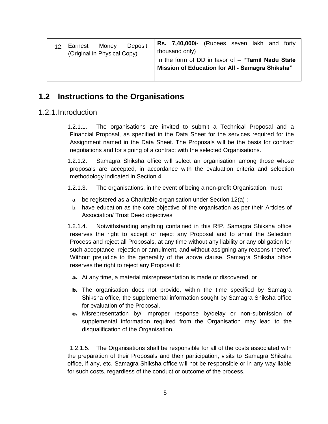| Deposit<br>Money<br>Earnest<br>12.1<br>(Original in Physical Copy) | Rs. 7,40,000/- (Rupees seven lakh and forty<br>thousand only)<br>In the form of DD in favor of $-$ "Tamil Nadu State<br>Mission of Education for All - Samagra Shiksha" |
|--------------------------------------------------------------------|-------------------------------------------------------------------------------------------------------------------------------------------------------------------------|
|--------------------------------------------------------------------|-------------------------------------------------------------------------------------------------------------------------------------------------------------------------|

# **1.2 Instructions to the Organisations**

### 1.2.1.Introduction

1.2.1.1. The organisations are invited to submit a Technical Proposal and a Financial Proposal, as specified in the Data Sheet for the services required for the Assignment named in the Data Sheet. The Proposals will be the basis for contract negotiations and for signing of a contract with the selected Organisations.

1.2.1.2. Samagra Shiksha office will select an organisation among those whose proposals are accepted, in accordance with the evaluation criteria and selection methodology indicated in Section 4.

1.2.1.3. The organisations, in the event of being a non-profit Organisation, must

- a. be registered as a Charitable organisation under Section 12(a) ;
- b. have education as the core objective of the organisation as per their Articles of Association/ Trust Deed objectives

1.2.1.4. Notwithstanding anything contained in this RfP, Samagra Shiksha office reserves the right to accept or reject any Proposal and to annul the Selection Process and reject all Proposals, at any time without any liability or any obligation for such acceptance, rejection or annulment, and without assigning any reasons thereof. Without prejudice to the generality of the above clause, Samagra Shiksha office reserves the right to reject any Proposal if:

- a. At any time, a material misrepresentation is made or discovered, or
- **b.** The organisation does not provide, within the time specified by Samagra Shiksha office, the supplemental information sought by Samagra Shiksha office for evaluation of the Proposal.
- c. Misrepresentation by/ improper response by/delay or non-submission of supplemental information required from the Organisation may lead to the disqualification of the Organisation.

1.2.1.5. The Organisations shall be responsible for all of the costs associated with the preparation of their Proposals and their participation, visits to Samagra Shiksha office, if any, etc. Samagra Shiksha office will not be responsible or in any way liable for such costs, regardless of the conduct or outcome of the process.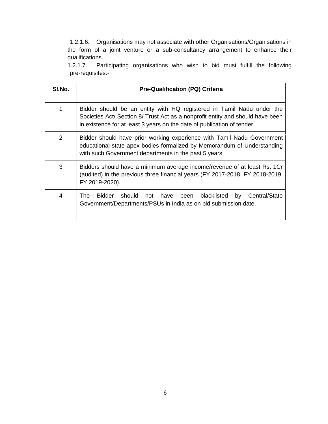1.2.1.6. Organisations may not associate with other Organisations/Organisations in the form of a joint venture or a sub-consultancy arrangement to enhance their qualifications.

1.2.1.7. Participating organisations who wish to bid must fulfill the following pre-requisites:-

| SI.No. | <b>Pre-Qualification (PQ) Criteria</b>                                                                                                                                                                                             |  |
|--------|------------------------------------------------------------------------------------------------------------------------------------------------------------------------------------------------------------------------------------|--|
| 1      | Bidder should be an entity with HQ registered in Tamil Nadu under the<br>Societies Act/ Section 8/ Trust Act as a nonprofit entity and should have been<br>in existence for at least 3 years on the date of publication of tender. |  |
| 2      | Bidder should have prior working experience with Tamil Nadu Government<br>educational state apex bodies formalized by Memorandum of Understanding<br>with such Government departments in the past 5 years.                         |  |
| 3      | Bidders should have a minimum average income/revenue of at least Rs. 1Cr<br>(audited) in the previous three financial years (FY 2017-2018, FY 2018-2019,<br>FY 2019-2020).                                                         |  |
| 4      | should not have<br>The .<br><b>Bidder</b><br>blacklisted<br>Central/State<br>been<br>by<br>Government/Departments/PSUs in India as on bid submission date.                                                                         |  |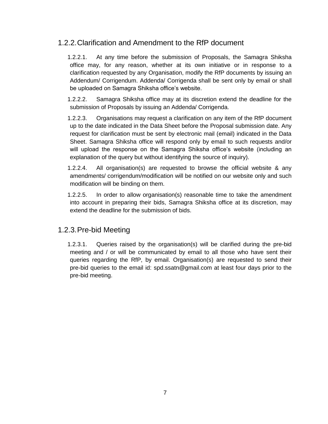# 1.2.2.Clarification and Amendment to the RfP document

1.2.2.1. At any time before the submission of Proposals, the Samagra Shiksha office may, for any reason, whether at its own initiative or in response to a clarification requested by any Organisation, modify the RfP documents by issuing an Addendum/ Corrigendum. Addenda/ Corrigenda shall be sent only by email or shall be uploaded on Samagra Shiksha office's website.

1.2.2.2. Samagra Shiksha office may at its discretion extend the deadline for the submission of Proposals by issuing an Addenda/ Corrigenda.

1.2.2.3. Organisations may request a clarification on any item of the RfP document up to the date indicated in the Data Sheet before the Proposal submission date. Any request for clarification must be sent by electronic mail (email) indicated in the Data Sheet. Samagra Shiksha office will respond only by email to such requests and/or will upload the response on the Samagra Shiksha office's website (including an explanation of the query but without identifying the source of inquiry).

1.2.2.4. All organisation(s) are requested to browse the official website & any amendments/ corrigendum/modification will be notified on our website only and such modification will be binding on them.

1.2.2.5. In order to allow organisation(s) reasonable time to take the amendment into account in preparing their bids, Samagra Shiksha office at its discretion, may extend the deadline for the submission of bids.

# 1.2.3.Pre-bid Meeting

1.2.3.1. Queries raised by the organisation(s) will be clarified during the pre-bid meeting and / or will be communicated by email to all those who have sent their queries regarding the RfP, by email. Organisation(s) are requested to send their pre-bid queries to the email id: [spd.ssatn@gmail.com](mailto:spd.ssatn@gmail.com) at least four days prior to the pre-bid meeting.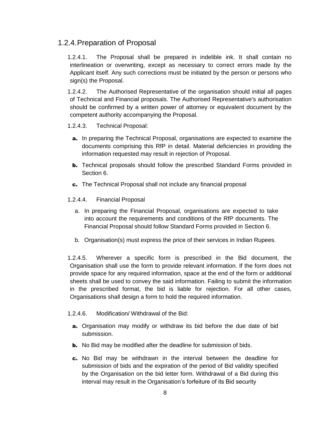# 1.2.4.Preparation of Proposal

1.2.4.1. The Proposal shall be prepared in indelible ink. It shall contain no interlineation or overwriting, except as necessary to correct errors made by the Applicant itself. Any such corrections must be initiated by the person or persons who sign(s) the Proposal.

1.2.4.2. The Authorised Representative of the organisation should initial all pages of Technical and Financial proposals. The Authorised Representative's authorisation should be confirmed by a written power of attorney or equivalent document by the competent authority accompanying the Proposal.

#### 1.2.4.3. Technical Proposal:

- a. In preparing the Technical Proposal, organisations are expected to examine the documents comprising this RfP in detail. Material deficiencies in providing the information requested may result in rejection of Proposal.
- **b.** Technical proposals should follow the prescribed Standard Forms provided in Section 6.
- c. The Technical Proposal shall not include any financial proposal

#### 1.2.4.4. Financial Proposal

- a. In preparing the Financial Proposal, organisations are expected to take into account the requirements and conditions of the RfP documents. The Financial Proposal should follow Standard Forms provided in Section 6.
- b. Organisation(s) must express the price of their services in Indian Rupees.

1.2.4.5. Wherever a specific form is prescribed in the Bid document, the Organisation shall use the form to provide relevant information. If the form does not provide space for any required information, space at the end of the form or additional sheets shall be used to convey the said information. Failing to submit the information in the prescribed format, the bid is liable for rejection. For all other cases, Organisations shall design a form to hold the required information.

#### 1.2.4.6. Modification/ Withdrawal of the Bid:

- a. Organisation may modify or withdraw its bid before the due date of bid submission.
- **b.** No Bid may be modified after the deadline for submission of bids.
- c. No Bid may be withdrawn in the interval between the deadline for submission of bids and the expiration of the period of Bid validity specified by the Organisation on the bid letter form. Withdrawal of a Bid during this interval may result in the Organisation's forfeiture of its Bid security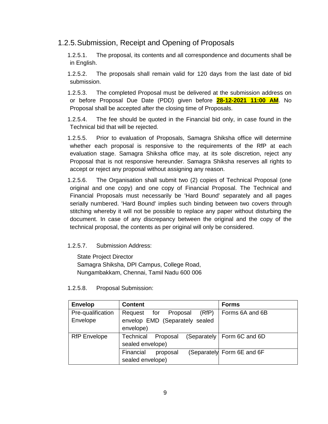# 1.2.5.Submission, Receipt and Opening of Proposals

1.2.5.1. The proposal, its contents and all correspondence and documents shall be in English.

1.2.5.2. The proposals shall remain valid for 120 days from the last date of bid submission.

1.2.5.3. The completed Proposal must be delivered at the submission address on or before Proposal Due Date (PDD) given before **28-12-2021 11:00 AM**. No Proposal shall be accepted after the closing time of Proposals.

1.2.5.4. The fee should be quoted in the Financial bid only, in case found in the Technical bid that will be rejected.

1.2.5.5. Prior to evaluation of Proposals, Samagra Shiksha office will determine whether each proposal is responsive to the requirements of the RfP at each evaluation stage. Samagra Shiksha office may, at its sole discretion, reject any Proposal that is not responsive hereunder. Samagra Shiksha reserves all rights to accept or reject any proposal without assigning any reason.

1.2.5.6. The Organisation shall submit two (2) copies of Technical Proposal (one original and one copy) and one copy of Financial Proposal. The Technical and Financial Proposals must necessarily be 'Hard Bound' separately and all pages serially numbered. 'Hard Bound' implies such binding between two covers through stitching whereby it will not be possible to replace any paper without disturbing the document. In case of any discrepancy between the original and the copy of the technical proposal, the contents as per original will only be considered.

#### 1.2.5.7. Submission Address:

State Project Director Samagra Shiksha, DPI Campus, College Road, Nungambakkam, Chennai, Tamil Nadu 600 006

1.2.5.8. Proposal Submission:

| <b>Envelop</b>      | <b>Content</b>                      | <b>Forms</b>                  |
|---------------------|-------------------------------------|-------------------------------|
| Pre-qualification   | (RfP)<br>Proposal<br>Request<br>for | Forms 6A and 6B               |
| Envelope            | envelop EMD (Separately sealed      |                               |
|                     | envelope)                           |                               |
| <b>RfP</b> Envelope | <b>Technical</b><br>Proposal        | (Separately   Form 6C and 6D) |
|                     | sealed envelope)                    |                               |
|                     | Financial<br>proposal               | (Separately Form 6E and 6F    |
|                     | sealed envelope)                    |                               |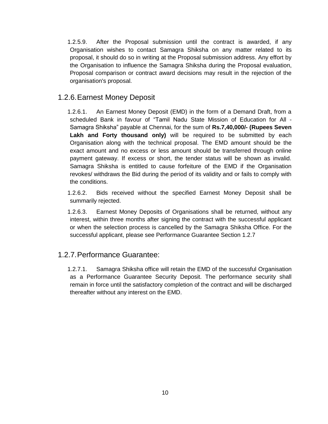1.2.5.9. After the Proposal submission until the contract is awarded, if any Organisation wishes to contact Samagra Shiksha on any matter related to its proposal, it should do so in writing at the Proposal submission address. Any effort by the Organisation to influence the Samagra Shiksha during the Proposal evaluation, Proposal comparison or contract award decisions may result in the rejection of the organisation's proposal.

# 1.2.6.Earnest Money Deposit

1.2.6.1. An Earnest Money Deposit (EMD) in the form of a Demand Draft, from a scheduled Bank in favour of "Tamil Nadu State Mission of Education for All - Samagra Shiksha" payable at Chennai, for the sum of **Rs.7,40,000/- (Rupees Seven Lakh and Forty thousand only)** will be required to be submitted by each Organisation along with the technical proposal. The EMD amount should be the exact amount and no excess or less amount should be transferred through online payment gateway. If excess or short, the tender status will be shown as invalid. Samagra Shiksha is entitled to cause forfeiture of the EMD if the Organisation revokes/ withdraws the Bid during the period of its validity and or fails to comply with the conditions.

1.2.6.2. Bids received without the specified Earnest Money Deposit shall be summarily rejected.

1.2.6.3. Earnest Money Deposits of Organisations shall be returned, without any interest, within three months after signing the contract with the successful applicant or when the selection process is cancelled by the Samagra Shiksha Office. For the successful applicant, please see Performance Guarantee Section 1.2.7

# 1.2.7.Performance Guarantee:

1.2.7.1. Samagra Shiksha office will retain the EMD of the successful Organisation as a Performance Guarantee Security Deposit. The performance security shall remain in force until the satisfactory completion of the contract and will be discharged thereafter without any interest on the EMD.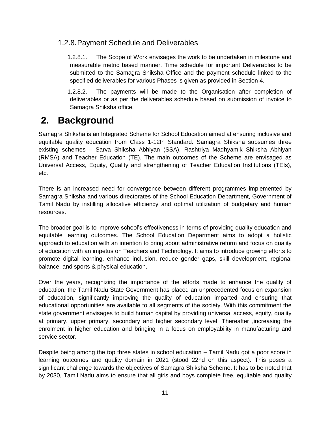# 1.2.8.Payment Schedule and Deliverables

1.2.8.1. The Scope of Work envisages the work to be undertaken in milestone and measurable metric based manner. Time schedule for important Deliverables to be submitted to the Samagra Shiksha Office and the payment schedule linked to the specified deliverables for various Phases is given as provided in Section 4.

1.2.8.2. The payments will be made to the Organisation after completion of deliverables or as per the deliverables schedule based on submission of invoice to Samagra Shiksha office.

# **2. Background**

Samagra Shiksha is an Integrated Scheme for School Education aimed at ensuring inclusive and equitable quality education from Class 1-12th Standard. Samagra Shiksha subsumes three existing schemes – Sarva Shiksha Abhiyan (SSA), Rashtriya Madhyamik Shiksha Abhiyan (RMSA) and Teacher Education (TE). The main outcomes of the Scheme are envisaged as Universal Access, Equity, Quality and strengthening of Teacher Education Institutions (TEIs), etc.

There is an increased need for convergence between different programmes implemented by Samagra Shiksha and various directorates of the School Education Department, Government of Tamil Nadu by instilling allocative efficiency and optimal utilization of budgetary and human resources.

The broader goal is to improve school's effectiveness in terms of providing quality education and equitable learning outcomes. The School Education Department aims to adopt a holistic approach to education with an intention to bring about administrative reform and focus on quality of education with an impetus on Teachers and Technology. It aims to introduce growing efforts to promote digital learning, enhance inclusion, reduce gender gaps, skill development, regional balance, and sports & physical education.

Over the years, recognizing the importance of the efforts made to enhance the quality of education, the Tamil Nadu State Government has placed an unprecedented focus on expansion of education, significantly improving the quality of education imparted and ensuring that educational opportunities are available to all segments of the society. With this commitment the state government envisages to build human capital by providing universal access, equity, quality at primary, upper primary, secondary and higher secondary level. Thereafter ,increasing the enrolment in higher education and bringing in a focus on employability in manufacturing and service sector.

Despite being among the top three states in school education – Tamil Nadu got a poor score in learning outcomes and quality domain in 2021 (stood 22nd on this aspect). This poses a significant challenge towards the objectives of Samagra Shiksha Scheme. It has to be noted that by 2030, Tamil Nadu aims to ensure that all girls and boys complete free, equitable and quality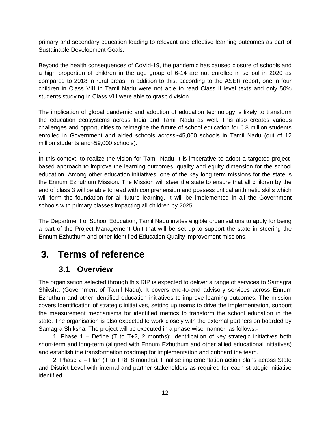primary and secondary education leading to relevant and effective learning outcomes as part of Sustainable Development Goals.

Beyond the health consequences of CoVid-19, the pandemic has caused closure of schools and a high proportion of children in the age group of 6-14 are not enrolled in school in 2020 as compared to 2018 in rural areas. In addition to this, according to the ASER report, one in four children in Class VIII in Tamil Nadu were not able to read Class II level texts and only 50% students studying in Class VIII were able to grasp division.

The implication of global pandemic and adoption of education technology is likely to transform the education ecosystems across India and Tamil Nadu as well. This also creates various challenges and opportunities to reimagine the future of school education for 6.8 million students enrolled in Government and aided schools across~45,000 schools in Tamil Nadu (out of 12 million students and~59,000 schools).

In this context, to realize the vision for Tamil Nadu–it is imperative to adopt a targeted projectbased approach to improve the learning outcomes, quality and equity dimension for the school education. Among other education initiatives, one of the key long term missions for the state is the Ennum Ezhuthum Mission. The Mission will steer the state to ensure that all children by the end of class 3 will be able to read with comprehension and possess critical arithmetic skills which will form the foundation for all future learning. It will be implemented in all the Government schools with primary classes impacting all children by 2025.

The Department of School Education, Tamil Nadu invites eligible organisations to apply for being a part of the Project Management Unit that will be set up to support the state in steering the Ennum Ezhuthum and other identified Education Quality improvement missions.

# **3. Terms of reference**

# **3.1 Overview**

.

The organisation selected through this RfP is expected to deliver a range of services to Samagra Shiksha (Government of Tamil Nadu). It covers end-to-end advisory services across Ennum Ezhuthum and other identified education initiatives to improve learning outcomes. The mission covers Identification of strategic initiatives, setting up teams to drive the implementation, support the measurement mechanisms for identified metrics to transform the school education in the state. The organisation is also expected to work closely with the external partners on boarded by Samagra Shiksha. The project will be executed in a phase wise manner, as follows:-

1. Phase 1 – Define (T to T+2, 2 months): Identification of key strategic initiatives both short-term and long-term (aligned with Ennum Ezhuthum and other allied educational initiatives) and establish the transformation roadmap for implementation and onboard the team.

2. Phase 2 – Plan (T to T+8, 8 months): Finalise implementation action plans across State and District Level with internal and partner stakeholders as required for each strategic initiative identified.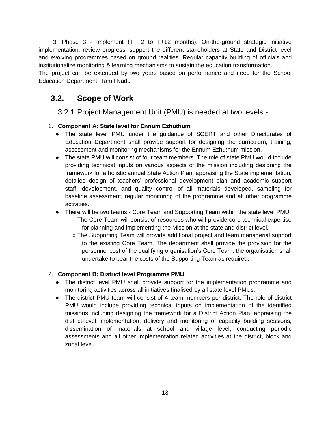3. Phase 3 - Implement (T +2 to T+12 months): On-the-ground strategic initiative implementation, review progress, support the different stakeholders at State and District level and evolving programmes based on ground realities. Regular capacity building of officials and institutionalize monitoring & learning mechanisms to sustain the education transformation.

The project can be extended by two years based on performance and need for the School Education Department, Tamil Nadu

# **3.2. Scope of Work**

3.2.1.Project Management Unit (PMU) is needed at two levels -

### 1. **Component A: State level for Ennum Ezhuthum**

- The state level PMU under the quidance of SCERT and other Directorates of Education Department shall provide support for designing the curriculum, training, assessment and monitoring mechanisms for the Ennum Ezhuthum mission.
- The state PMU will consist of four team members. The role of state PMU would include providing technical inputs on various aspects of the mission including designing the framework for a holistic annual State Action Plan, appraising the State implementation, detailed design of teachers' professional development plan and academic support staff, development, and quality control of all materials developed, sampling for baseline assessment, regular monitoring of the programme and all other programme activities.
- There will be two teams Core Team and Supporting Team within the state level PMU.
	- The Core Team will consist of resources who will provide core technical expertise for planning and implementing the Mission at the state and district level.
	- The Supporting Team will provide additional project and team managerial support to the existing Core Team. The department shall provide the provision for the personnel cost of the qualifying organisation's Core Team, the organisation shall undertake to bear the costs of the Supporting Team as required.

### 2. **Component B: District level Programme PMU**

- The district level PMU shall provide support for the implementation programme and monitoring activities across all initiatives finalised by all state level PMUs.
- The district PMU team will consist of 4 team members per district. The role of district PMU would include providing technical inputs on implementation of the identified missions including designing the framework for a District Action Plan, appraising the district-level implementation, delivery and monitoring of capacity building sessions, dissemination of materials at school and village level, conducting periodic assessments and all other implementation related activities at the district, block and zonal level.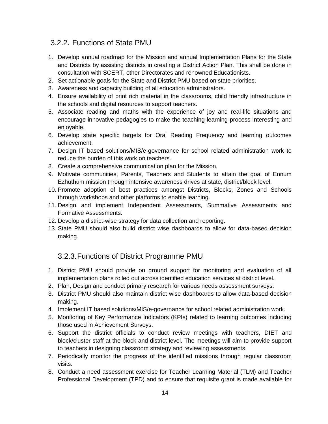# 3.2.2. Functions of State PMU

- 1. Develop annual roadmap for the Mission and annual Implementation Plans for the State and Districts by assisting districts in creating a District Action Plan. This shall be done in consultation with SCERT, other Directorates and renowned Educationists.
- 2. Set actionable goals for the State and District PMU based on state priorities.
- 3. Awareness and capacity building of all education administrators.
- 4. Ensure availability of print rich material in the classrooms, child friendly infrastructure in the schools and digital resources to support teachers.
- 5. Associate reading and maths with the experience of joy and real-life situations and encourage innovative pedagogies to make the teaching learning process interesting and enjoyable.
- 6. Develop state specific targets for Oral Reading Frequency and learning outcomes achievement.
- 7. Design IT based solutions/MIS/e-governance for school related administration work to reduce the burden of this work on teachers.
- 8. Create a comprehensive communication plan for the Mission.
- 9. Motivate communities, Parents, Teachers and Students to attain the goal of Ennum Ezhuthum mission through intensive awareness drives at state, district/block level.
- 10. Promote adoption of best practices amongst Districts, Blocks, Zones and Schools through workshops and other platforms to enable learning.
- 11. Design and implement Independent Assessments, Summative Assessments and Formative Assessments.
- 12. Develop a district-wise strategy for data collection and reporting.
- 13. State PMU should also build district wise dashboards to allow for data-based decision making.

# 3.2.3.Functions of District Programme PMU

- 1. District PMU should provide on ground support for monitoring and evaluation of all implementation plans rolled out across identified education services at district level.
- 2. Plan, Design and conduct primary research for various needs assessment surveys.
- 3. District PMU should also maintain district wise dashboards to allow data-based decision making.
- 4. Implement IT based solutions/MIS/e-governance for school related administration work.
- 5. Monitoring of Key Performance Indicators (KPIs) related to learning outcomes including those used in Achievement Surveys.
- 6. Support the district officials to conduct review meetings with teachers, DIET and block/cluster staff at the block and district level. The meetings will aim to provide support to teachers in designing classroom strategy and reviewing assessments.
- 7. Periodically monitor the progress of the identified missions through regular classroom visits.
- 8. Conduct a need assessment exercise for Teacher Learning Material (TLM) and Teacher Professional Development (TPD) and to ensure that requisite grant is made available for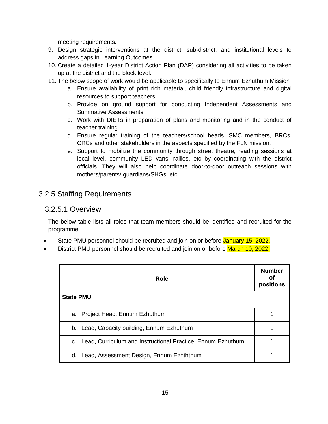meeting requirements.

- 9. Design strategic interventions at the district, sub-district, and institutional levels to address gaps in Learning Outcomes.
- 10. Create a detailed 1-year District Action Plan (DAP) considering all activities to be taken up at the district and the block level.
- 11. The below scope of work would be applicable to specifically to Ennum Ezhuthum Mission
	- a. Ensure availability of print rich material, child friendly infrastructure and digital resources to support teachers.
	- b. Provide on ground support for conducting Independent Assessments and Summative Assessments.
	- c. Work with DIETs in preparation of plans and monitoring and in the conduct of teacher training.
	- d. Ensure regular training of the teachers/school heads, SMC members, BRCs, CRCs and other stakeholders in the aspects specified by the FLN mission.
	- e. Support to mobilize the community through street theatre, reading sessions at local level, community LED vans, rallies, etc by coordinating with the district officials. They will also help coordinate door-to-door outreach sessions with mothers/parents/ guardians/SHGs, etc.

# 3.2.5 Staffing Requirements

### 3.2.5.1 Overview

The below table lists all roles that team members should be identified and recruited for the programme.

- State PMU personnel should be recruited and join on or before January 15, 2022.
- District PMU personnel should be recruited and join on or before March 10, 2022.

| Role                                                              | <b>Number</b><br>Οf<br>positions |
|-------------------------------------------------------------------|----------------------------------|
| <b>State PMU</b>                                                  |                                  |
| a. Project Head, Ennum Ezhuthum                                   |                                  |
| b. Lead, Capacity building, Ennum Ezhuthum                        |                                  |
| Lead, Curriculum and Instructional Practice, Ennum Ezhuthum<br>C. |                                  |
| Lead, Assessment Design, Ennum Ezhththum<br>d.                    |                                  |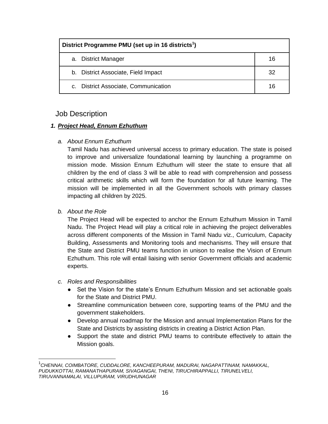| District Programme PMU (set up in 16 districts <sup>1</sup> ) |    |  |
|---------------------------------------------------------------|----|--|
| a. District Manager                                           | 16 |  |
| b. District Associate, Field Impact                           | 32 |  |
| c. District Associate, Communication                          | 16 |  |

### Job Description

#### *1. Project Head, Ennum Ezhuthum*

#### *a. About Ennum Ezhuthum*

Tamil Nadu has achieved universal access to primary education. The state is poised to improve and universalize foundational learning by launching a programme on mission mode. Mission Ennum Ezhuthum will steer the state to ensure that all children by the end of class 3 will be able to read with comprehension and possess critical arithmetic skills which will form the foundation for all future learning. The mission will be implemented in all the Government schools with primary classes impacting all children by 2025.

#### *b. About the Role*

The Project Head will be expected to anchor the Ennum Ezhuthum Mission in Tamil Nadu. The Project Head will play a critical role in achieving the project deliverables across different components of the Mission in Tamil Nadu viz., Curriculum, Capacity Building, Assessments and Monitoring tools and mechanisms. They will ensure that the State and District PMU teams function in unison to realise the Vision of Ennum Ezhuthum. This role will entail liaising with senior Government officials and academic experts.

#### *c. Roles and Responsibilities*

- Set the Vision for the state's Ennum Ezhuthum Mission and set actionable goals for the State and District PMU.
- Streamline communication between core, supporting teams of the PMU and the government stakeholders.
- Develop annual roadmap for the Mission and annual Implementation Plans for the State and Districts by assisting districts in creating a District Action Plan.
- Support the state and district PMU teams to contribute effectively to attain the Mission goals.

<sup>1</sup> *CHENNAI, COIMBATORE, CUDDALORE, KANCHEEPURAM, MADURAI, NAGAPATTINAM, NAMAKKAL, PUDUKKOTTAI, RAMANATHAPURAM, SIVAGANGAI, THENI, TIRUCHIRAPPALLI, TIRUNELVELI, TIRUVANNAMALAI, VILLUPURAM, VIRUDHUNAGAR*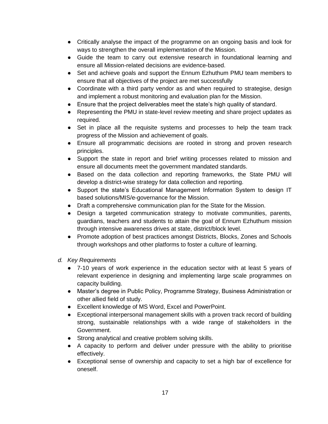- Critically analyse the impact of the programme on an ongoing basis and look for ways to strengthen the overall implementation of the Mission.
- Guide the team to carry out extensive research in foundational learning and ensure all Mission-related decisions are evidence-based.
- Set and achieve goals and support the Ennum Ezhuthum PMU team members to ensure that all objectives of the project are met successfully
- Coordinate with a third party vendor as and when required to strategise, design and implement a robust monitoring and evaluation plan for the Mission.
- Ensure that the project deliverables meet the state's high quality of standard.
- Representing the PMU in state-level review meeting and share project updates as required.
- Set in place all the requisite systems and processes to help the team track progress of the Mission and achievement of goals.
- Ensure all programmatic decisions are rooted in strong and proven research principles.
- Support the state in report and brief writing processes related to mission and ensure all documents meet the government mandated standards.
- Based on the data collection and reporting frameworks, the State PMU will develop a district-wise strategy for data collection and reporting.
- Support the state's Educational Management Information System to design IT based solutions/MIS/e-governance for the Mission.
- Draft a comprehensive communication plan for the State for the Mission.
- Design a targeted communication strategy to motivate communities, parents, guardians, teachers and students to attain the goal of Ennum Ezhuthum mission through intensive awareness drives at state, district/block level.
- Promote adoption of best practices amongst Districts, Blocks, Zones and Schools through workshops and other platforms to foster a culture of learning.
- *d. Key Requirements*
	- 7-10 years of work experience in the education sector with at least 5 years of relevant experience in designing and implementing large scale programmes on capacity building.
	- Master's degree in Public Policy, Programme Strategy, Business Administration or other allied field of study.
	- Excellent knowledge of MS Word, Excel and PowerPoint.
	- Exceptional interpersonal management skills with a proven track record of building strong, sustainable relationships with a wide range of stakeholders in the Government.
	- Strong analytical and creative problem solving skills.
	- A capacity to perform and deliver under pressure with the ability to prioritise effectively.
	- Exceptional sense of ownership and capacity to set a high bar of excellence for oneself.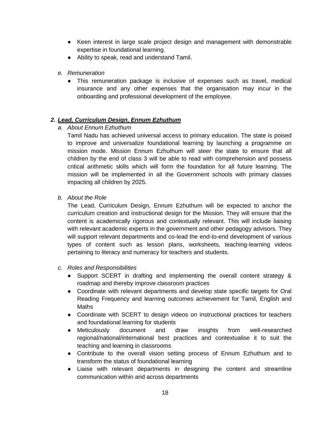- Keen interest in large scale project design and management with demonstrable expertise in foundational learning.
- Ability to speak, read and understand Tamil.
- *e. Remuneration*
	- This remuneration package is inclusive of expenses such as travel, medical insurance and any other expenses that the organisation may incur in the onboarding and professional development of the employee.

#### *2. Lead, Curriculum Design, Ennum Ezhuthum*

*a. About Ennum Ezhuthum*

Tamil Nadu has achieved universal access to primary education. The state is poised to improve and universalize foundational learning by launching a programme on mission mode. Mission Ennum Ezhuthum will steer the state to ensure that all children by the end of class 3 will be able to read with comprehension and possess critical arithmetic skills which will form the foundation for all future learning. The mission will be implemented in all the Government schools with primary classes impacting all children by 2025.

*b. About the Role*

The Lead, Curriculum Design, Ennum Ezhuthum will be expected to anchor the curriculum creation and instructional design for the Mission. They will ensure that the content is academically rigorous and contextually relevant. This will include liaising with relevant academic experts in the government and other pedagogy advisors. They will support relevant departments and co-lead the end-to-end development of various types of content such as lesson plans, worksheets, teaching-learning videos pertaining to literacy and numeracy for teachers and students.

- *c. Roles and Responsibilities*
	- Support SCERT in drafting and implementing the overall content strategy & roadmap and thereby improve classroom practices
	- Coordinate with relevant departments and develop state specific targets for Oral Reading Frequency and learning outcomes achievement for Tamil, English and **Maths**
	- Coordinate with SCERT to design videos on instructional practices for teachers and foundational learning for students
	- Meticulously document and draw insights from well-researched regional/national/international best practices and contextualise it to suit the teaching and learning in classrooms
	- Contribute to the overall vision setting process of Ennum Ezhuthum and to transform the status of foundational learning
	- Liaise with relevant departments in designing the content and streamline communication within and across departments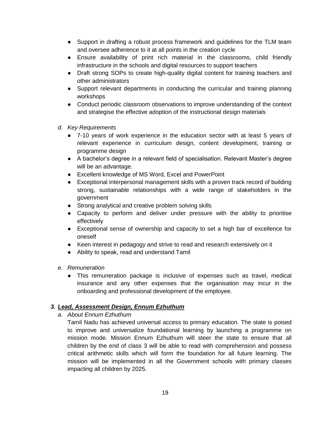- Support in drafting a robust process framework and guidelines for the TLM team and oversee adherence to it at all points in the creation cycle
- Ensure availability of print rich material in the classrooms, child friendly infrastructure in the schools and digital resources to support teachers
- Draft strong SOPs to create high-quality digital content for training teachers and other administrators
- Support relevant departments in conducting the curricular and training planning workshops
- Conduct periodic classroom observations to improve understanding of the context and strategise the effective adoption of the instructional design materials
- *d. Key Requirements*
	- 7-10 years of work experience in the education sector with at least 5 years of relevant experience in curriculum design, content development, training or programme design
	- A bachelor's degree in a relevant field of specialisation. Relevant Master's degree will be an advantage.
	- Excellent knowledge of MS Word, Excel and PowerPoint
	- Exceptional interpersonal management skills with a proven track record of building strong, sustainable relationships with a wide range of stakeholders in the government
	- Strong analytical and creative problem solving skills
	- Capacity to perform and deliver under pressure with the ability to prioritise effectively
	- Exceptional sense of ownership and capacity to set a high bar of excellence for oneself
	- Keen interest in pedagogy and strive to read and research extensively on it
	- Ability to speak, read and understand Tamil
- *e. Remuneration* 
	- This remuneration package is inclusive of expenses such as travel, medical insurance and any other expenses that the organisation may incur in the onboarding and professional development of the employee.

#### *3. Lead, Assessment Design, Ennum Ezhuthum*

*a. About Ennum Ezhuthum*

Tamil Nadu has achieved universal access to primary education. The state is poised to improve and universalize foundational learning by launching a programme on mission mode. Mission Ennum Ezhuthum will steer the state to ensure that all children by the end of class 3 will be able to read with comprehension and possess critical arithmetic skills which will form the foundation for all future learning. The mission will be implemented in all the Government schools with primary classes impacting all children by 2025.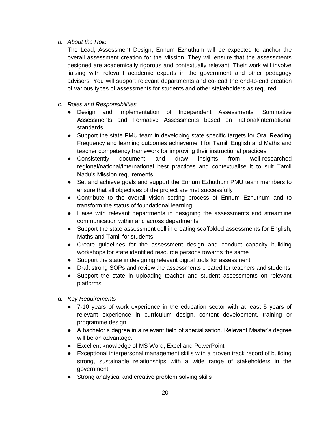#### *b. About the Role*

The Lead, Assessment Design, Ennum Ezhuthum will be expected to anchor the overall assessment creation for the Mission. They will ensure that the assessments designed are academically rigorous and contextually relevant. Their work will involve liaising with relevant academic experts in the government and other pedagogy advisors. You will support relevant departments and co-lead the end-to-end creation of various types of assessments for students and other stakeholders as required.

- *c. Roles and Responsibilities*
	- Design and implementation of Independent Assessments, Summative Assessments and Formative Assessments based on national/international standards
	- Support the state PMU team in developing state specific targets for Oral Reading Frequency and learning outcomes achievement for Tamil, English and Maths and teacher competency framework for improving their instructional practices
	- Consistently document and draw insights from well-researched regional/national/international best practices and contextualise it to suit Tamil Nadu's Mission requirements
	- Set and achieve goals and support the Ennum Ezhuthum PMU team members to ensure that all objectives of the project are met successfully
	- Contribute to the overall vision setting process of Ennum Ezhuthum and to transform the status of foundational learning
	- Liaise with relevant departments in designing the assessments and streamline communication within and across departments
	- Support the state assessment cell in creating scaffolded assessments for English, Maths and Tamil for students
	- Create guidelines for the assessment design and conduct capacity building workshops for state identified resource persons towards the same
	- Support the state in designing relevant digital tools for assessment
	- Draft strong SOPs and review the assessments created for teachers and students
	- Support the state in uploading teacher and student assessments on relevant platforms
- *d. Key Requirements*
	- 7-10 years of work experience in the education sector with at least 5 years of relevant experience in curriculum design, content development, training or programme design
	- A bachelor's degree in a relevant field of specialisation. Relevant Master's degree will be an advantage.
	- Excellent knowledge of MS Word, Excel and PowerPoint
	- Exceptional interpersonal management skills with a proven track record of building strong, sustainable relationships with a wide range of stakeholders in the government
	- Strong analytical and creative problem solving skills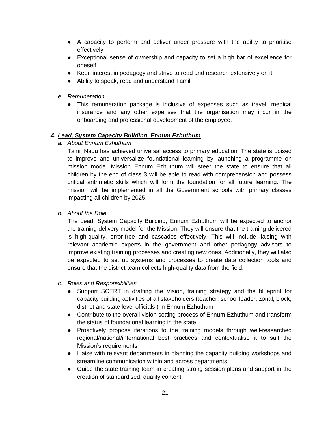- A capacity to perform and deliver under pressure with the ability to prioritise effectively
- Exceptional sense of ownership and capacity to set a high bar of excellence for oneself
- Keen interest in pedagogy and strive to read and research extensively on it
- Ability to speak, read and understand Tamil
- *e. Remuneration* 
	- This remuneration package is inclusive of expenses such as travel, medical insurance and any other expenses that the organisation may incur in the onboarding and professional development of the employee.

#### *4. Lead, System Capacity Building, Ennum Ezhuthum*

*a. About Ennum Ezhuthum*

Tamil Nadu has achieved universal access to primary education. The state is poised to improve and universalize foundational learning by launching a programme on mission mode. Mission Ennum Ezhuthum will steer the state to ensure that all children by the end of class 3 will be able to read with comprehension and possess critical arithmetic skills which will form the foundation for all future learning. The mission will be implemented in all the Government schools with primary classes impacting all children by 2025.

*b. About the Role*

The Lead, System Capacity Building, Ennum Ezhuthum will be expected to anchor the training delivery model for the Mission. They will ensure that the training delivered is high-quality, error-free and cascades effectively. This will include liaising with relevant academic experts in the government and other pedagogy advisors to improve existing training processes and creating new ones. Additionally, they will also be expected to set up systems and processes to create data collection tools and ensure that the district team collects high-quality data from the field.

- *c. Roles and Responsibilities*
	- Support SCERT in drafting the Vision, training strategy and the blueprint for capacity building activities of all stakeholders (teacher, school leader, zonal, block, district and state level officials ) in Ennum Ezhuthum
	- Contribute to the overall vision setting process of Ennum Ezhuthum and transform the status of foundational learning in the state
	- Proactively propose iterations to the training models through well-researched regional/national/international best practices and contextualise it to suit the Mission's requirements
	- Liaise with relevant departments in planning the capacity building workshops and streamline communication within and across departments
	- Guide the state training team in creating strong session plans and support in the creation of standardised, quality content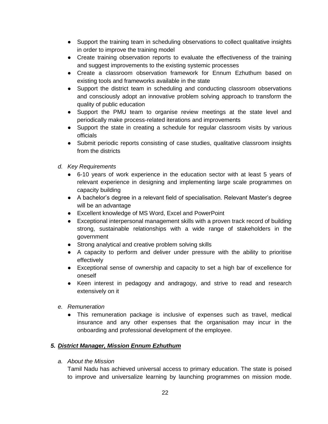- Support the training team in scheduling observations to collect qualitative insights in order to improve the training model
- Create training observation reports to evaluate the effectiveness of the training and suggest improvements to the existing systemic processes
- Create a classroom observation framework for Ennum Ezhuthum based on existing tools and frameworks available in the state
- Support the district team in scheduling and conducting classroom observations and consciously adopt an innovative problem solving approach to transform the quality of public education
- Support the PMU team to organise review meetings at the state level and periodically make process-related iterations and improvements
- Support the state in creating a schedule for regular classroom visits by various officials
- Submit periodic reports consisting of case studies, qualitative classroom insights from the districts
- *d. Key Requirements*
	- 6-10 years of work experience in the education sector with at least 5 years of relevant experience in designing and implementing large scale programmes on capacity building
	- A bachelor's degree in a relevant field of specialisation. Relevant Master's degree will be an advantage
	- Excellent knowledge of MS Word, Excel and PowerPoint
	- Exceptional interpersonal management skills with a proven track record of building strong, sustainable relationships with a wide range of stakeholders in the government
	- Strong analytical and creative problem solving skills
	- A capacity to perform and deliver under pressure with the ability to prioritise effectively
	- Exceptional sense of ownership and capacity to set a high bar of excellence for oneself
	- Keen interest in pedagogy and andragogy, and strive to read and research extensively on it
- *e. Remuneration* 
	- This remuneration package is inclusive of expenses such as travel, medical insurance and any other expenses that the organisation may incur in the onboarding and professional development of the employee.

### *5. District Manager, Mission Ennum Ezhuthum*

*a. About the Mission*

Tamil Nadu has achieved universal access to primary education. The state is poised to improve and universalize learning by launching programmes on mission mode.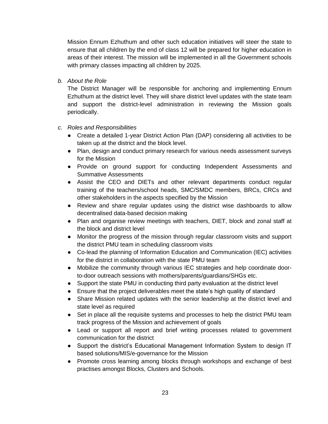Mission Ennum Ezhuthum and other such education initiatives will steer the state to ensure that all children by the end of class 12 will be prepared for higher education in areas of their interest. The mission will be implemented in all the Government schools with primary classes impacting all children by 2025.

*b. About the Role*

The District Manager will be responsible for anchoring and implementing Ennum Ezhuthum at the district level. They will share district level updates with the state team and support the district-level administration in reviewing the Mission goals periodically.

- *c. Roles and Responsibilities*
	- Create a detailed 1-year District Action Plan (DAP) considering all activities to be taken up at the district and the block level.
	- Plan, design and conduct primary research for various needs assessment surveys for the Mission
	- Provide on ground support for conducting Independent Assessments and Summative Assessments
	- Assist the CEO and DIETs and other relevant departments conduct regular training of the teachers/school heads, SMC/SMDC members, BRCs, CRCs and other stakeholders in the aspects specified by the Mission
	- Review and share regular updates using the district wise dashboards to allow decentralised data-based decision making
	- Plan and organise review meetings with teachers, DIET, block and zonal staff at the block and district level
	- Monitor the progress of the mission through regular classroom visits and support the district PMU team in scheduling classroom visits
	- Co-lead the planning of Information Education and Communication (IEC) activities for the district in collaboration with the state PMU team
	- Mobilize the community through various IEC strategies and help coordinate doorto-door outreach sessions with mothers/parents/guardians/SHGs etc.
	- Support the state PMU in conducting third party evaluation at the district level
	- Ensure that the project deliverables meet the state's high quality of standard
	- Share Mission related updates with the senior leadership at the district level and state level as required
	- Set in place all the requisite systems and processes to help the district PMU team track progress of the Mission and achievement of goals
	- Lead or support all report and brief writing processes related to government communication for the district
	- Support the district's Educational Management Information System to design IT based solutions/MIS/e-governance for the Mission
	- Promote cross learning among blocks through workshops and exchange of best practises amongst Blocks, Clusters and Schools.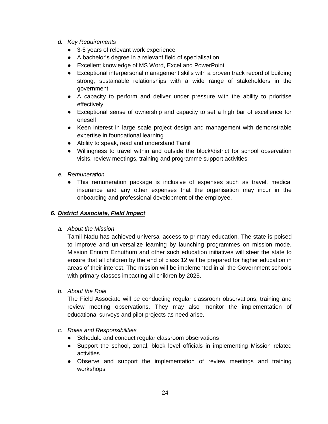- *d. Key Requirements*
	- 3-5 years of relevant work experience
	- A bachelor's degree in a relevant field of specialisation
	- Excellent knowledge of MS Word, Excel and PowerPoint
	- Exceptional interpersonal management skills with a proven track record of building strong, sustainable relationships with a wide range of stakeholders in the government
	- A capacity to perform and deliver under pressure with the ability to prioritise effectively
	- Exceptional sense of ownership and capacity to set a high bar of excellence for oneself
	- Keen interest in large scale project design and management with demonstrable expertise in foundational learning
	- Ability to speak, read and understand Tamil
	- Willingness to travel within and outside the block/district for school observation visits, review meetings, training and programme support activities
- *e. Remuneration*
	- This remuneration package is inclusive of expenses such as travel, medical insurance and any other expenses that the organisation may incur in the onboarding and professional development of the employee.

#### *6. District Associate, Field Impact*

*a. About the Mission*

Tamil Nadu has achieved universal access to primary education. The state is poised to improve and universalize learning by launching programmes on mission mode. Mission Ennum Ezhuthum and other such education initiatives will steer the state to ensure that all children by the end of class 12 will be prepared for higher education in areas of their interest. The mission will be implemented in all the Government schools with primary classes impacting all children by 2025.

*b. About the Role*

The Field Associate will be conducting regular classroom observations, training and review meeting observations. They may also monitor the implementation of educational surveys and pilot projects as need arise.

- *c. Roles and Responsibilities*
	- Schedule and conduct regular classroom observations
	- Support the school, zonal, block level officials in implementing Mission related activities
	- Observe and support the implementation of review meetings and training workshops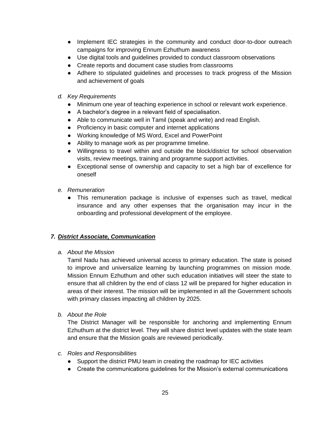- Implement IEC strategies in the community and conduct door-to-door outreach campaigns for improving Ennum Ezhuthum awareness
- Use digital tools and guidelines provided to conduct classroom observations
- Create reports and document case studies from classrooms
- Adhere to stipulated guidelines and processes to track progress of the Mission and achievement of goals
- *d. Key Requirements*
	- Minimum one year of teaching experience in school or relevant work experience.
	- A bachelor's degree in a relevant field of specialisation.
	- Able to communicate well in Tamil (speak and write) and read English.
	- Proficiency in basic computer and internet applications
	- Working knowledge of MS Word, Excel and PowerPoint
	- Ability to manage work as per programme timeline.
	- Willingness to travel within and outside the block/district for school observation visits, review meetings, training and programme support activities.
	- Exceptional sense of ownership and capacity to set a high bar of excellence for oneself
- *e. Remuneration*
	- This remuneration package is inclusive of expenses such as travel, medical insurance and any other expenses that the organisation may incur in the onboarding and professional development of the employee.

#### *7. District Associate, Communication*

#### *a. About the Mission*

Tamil Nadu has achieved universal access to primary education. The state is poised to improve and universalize learning by launching programmes on mission mode. Mission Ennum Ezhuthum and other such education initiatives will steer the state to ensure that all children by the end of class 12 will be prepared for higher education in areas of their interest. The mission will be implemented in all the Government schools with primary classes impacting all children by 2025.

*b. About the Role*

The District Manager will be responsible for anchoring and implementing Ennum Ezhuthum at the district level. They will share district level updates with the state team and ensure that the Mission goals are reviewed periodically.

- *c. Roles and Responsibilities*
	- Support the district PMU team in creating the roadmap for IEC activities
	- Create the communications guidelines for the Mission's external communications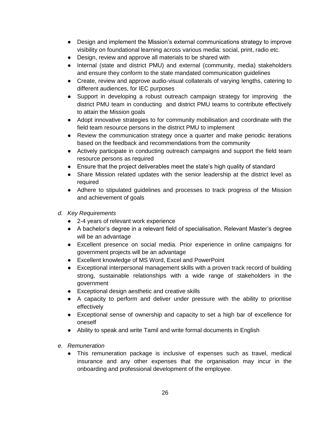- Design and implement the Mission's external communications strategy to improve visibility on foundational learning across various media: social, print, radio etc.
- Design, review and approve all materials to be shared with
- Internal (state and district PMU) and external (community, media) stakeholders and ensure they conform to the state mandated communication guidelines
- Create, review and approve audio-visual collaterals of varying lengths, catering to different audiences, for IEC purposes
- Support in developing a robust outreach campaign strategy for improving the district PMU team in conducting and district PMU teams to contribute effectively to attain the Mission goals
- Adopt innovative strategies to for community mobilisation and coordinate with the field team resource persons in the district PMU to implement
- Review the communication strategy once a quarter and make periodic iterations based on the feedback and recommendations from the community
- Actively participate in conducting outreach campaigns and support the field team resource persons as required
- Ensure that the project deliverables meet the state's high quality of standard
- Share Mission related updates with the senior leadership at the district level as required
- Adhere to stipulated guidelines and processes to track progress of the Mission and achievement of goals
- *d. Key Requirements*
	- 2-4 years of relevant work experience
	- A bachelor's degree in a relevant field of specialisation. Relevant Master's degree will be an advantage
	- Excellent presence on social media. Prior experience in online campaigns for government projects will be an advantage
	- Excellent knowledge of MS Word, Excel and PowerPoint
	- Exceptional interpersonal management skills with a proven track record of building strong, sustainable relationships with a wide range of stakeholders in the government
	- Exceptional design aesthetic and creative skills
	- A capacity to perform and deliver under pressure with the ability to prioritise effectively
	- Exceptional sense of ownership and capacity to set a high bar of excellence for oneself
	- Ability to speak and write Tamil and write formal documents in English
- *e. Remuneration*
	- This remuneration package is inclusive of expenses such as travel, medical insurance and any other expenses that the organisation may incur in the onboarding and professional development of the employee.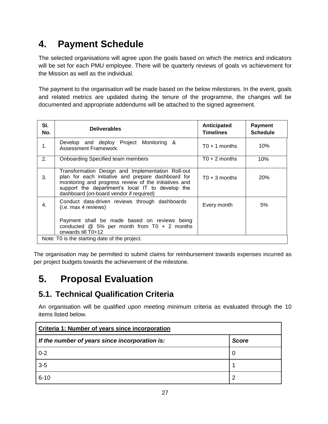# **4. Payment Schedule**

The selected organisations will agree upon the goals based on which the metrics and indicators will be set for each PMU employee. There will be quarterly reviews of goals vs achievement for the Mission as well as the individual.

The payment to the organisation will be made based on the below milestones. In the event, goals and related metrics are updated during the tenure of the programme, the changes will be documented and appropriate addendums will be attached to the signed agreement.

| SI.<br>No.                                    | <b>Deliverables</b>                                                                                                                                                                                                                                             | Anticipated<br><b>Timelines</b> | <b>Payment</b><br><b>Schedule</b> |
|-----------------------------------------------|-----------------------------------------------------------------------------------------------------------------------------------------------------------------------------------------------------------------------------------------------------------------|---------------------------------|-----------------------------------|
| 1.                                            | Develop and deploy Project Monitoring &<br>Assessment Framework.                                                                                                                                                                                                | $T0 + 1$ months                 | 10%                               |
| 2.                                            | <b>Onboarding Specified team members</b>                                                                                                                                                                                                                        | $T0 + 2$ months                 | 10%                               |
| 3.                                            | Transformation Design and Implementation Roll-out<br>plan for each initiative and prepare dashboard for<br>monitoring and progress review of the initiatives and<br>support the department's local IT to develop the<br>dashboard (on-board vendor if required) | $T0 + 3$ months                 | 20%                               |
| 4.                                            | Conduct data-driven reviews through dashboards<br>(i.e. max 4 reviews)                                                                                                                                                                                          | Every month                     | 5%                                |
|                                               | Payment shall be made based on reviews being<br>conducted $@$ 5% per month from T0 + 2 months<br>onwards till T0+12                                                                                                                                             |                                 |                                   |
| Note: T0 is the starting date of the project. |                                                                                                                                                                                                                                                                 |                                 |                                   |

The organisation may be permitted to submit claims for reimbursement towards expenses incurred as per project budgets towards the achievement of the milestone.

# **5. Proposal Evaluation**

# **5.1. Technical Qualification Criteria**

An organisation will be qualified upon meeting minimum criteria as evaluated through the 10 items listed below.

| Criteria 1: Number of years since incorporation |              |  |
|-------------------------------------------------|--------------|--|
| If the number of years since incorporation is:  | <b>Score</b> |  |
| $0 - 2$                                         | 0            |  |
| $3-5$                                           |              |  |
| $6 - 10$                                        | 2            |  |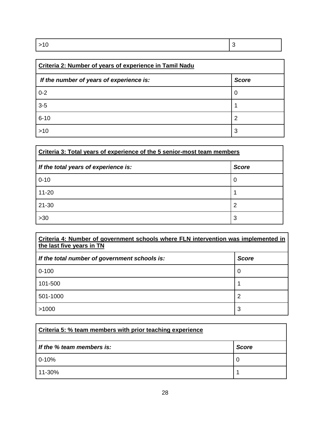| Criteria 2: Number of years of experience in Tamil Nadu |              |  |
|---------------------------------------------------------|--------------|--|
| If the number of years of experience is:                | <b>Score</b> |  |
| $0 - 2$                                                 | 0            |  |
| $3-5$                                                   |              |  |
| $6 - 10$                                                | 2            |  |
| >10                                                     | 3            |  |

| Criteria 3: Total years of experience of the 5 senior-most team members |              |  |
|-------------------------------------------------------------------------|--------------|--|
| If the total years of experience is:                                    | <b>Score</b> |  |
| $0 - 10$                                                                | 0            |  |
| $11 - 20$                                                               |              |  |
| $21 - 30$                                                               | 2            |  |
| $>30$                                                                   | 3            |  |

| Criteria 4: Number of government schools where FLN intervention was implemented in<br>the last five years in TN |              |  |  |
|-----------------------------------------------------------------------------------------------------------------|--------------|--|--|
| If the total number of government schools is:                                                                   | <b>Score</b> |  |  |
| $0 - 100$                                                                                                       | 0            |  |  |
| 101-500                                                                                                         |              |  |  |
| 501-1000                                                                                                        | 2            |  |  |
| >1000                                                                                                           | 3            |  |  |

| Criteria 5: % team members with prior teaching experience |              |  |  |
|-----------------------------------------------------------|--------------|--|--|
| If the % team members is:                                 | <b>Score</b> |  |  |
| $0 - 10%$                                                 | 0            |  |  |
| 11-30%                                                    |              |  |  |

28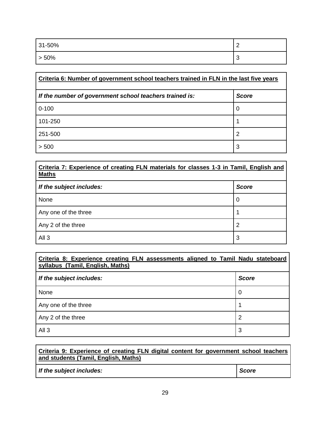| 31-50% | $\sim$      |
|--------|-------------|
| > 50%  | $\sim$<br>J |

| Criteria 6: Number of government school teachers trained in FLN in the last five years |              |  |
|----------------------------------------------------------------------------------------|--------------|--|
| If the number of government school teachers trained is:                                | <b>Score</b> |  |
| $0 - 100$                                                                              | 0            |  |
| 101-250                                                                                |              |  |
| 251-500                                                                                | 2            |  |
| > 500                                                                                  | 3            |  |

| Criteria 7: Experience of creating FLN materials for classes 1-3 in Tamil, English and<br><b>Maths</b> |              |  |  |
|--------------------------------------------------------------------------------------------------------|--------------|--|--|
| If the subject includes:                                                                               | <b>Score</b> |  |  |
| None                                                                                                   | 0            |  |  |
| Any one of the three                                                                                   |              |  |  |
| Any 2 of the three                                                                                     | 2            |  |  |
| All <sub>3</sub>                                                                                       | 3            |  |  |

| Criteria 8: Experience creating FLN assessments aligned to Tamil Nadu stateboard<br>syllabus (Tamil, English, Maths) |              |
|----------------------------------------------------------------------------------------------------------------------|--------------|
| If the subject includes:                                                                                             | <b>Score</b> |
| None                                                                                                                 | 0            |
| Any one of the three                                                                                                 |              |
| Any 2 of the three                                                                                                   | 2            |
| All <sub>3</sub>                                                                                                     | 3            |

| Criteria 9: Experience of creating FLN digital content for government school teachers<br>and students (Tamil, English, Maths) |              |  |
|-------------------------------------------------------------------------------------------------------------------------------|--------------|--|
| If the subject includes:                                                                                                      | <b>Score</b> |  |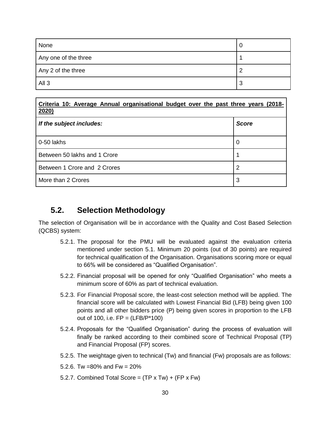| None                 | U |
|----------------------|---|
| Any one of the three |   |
| Any 2 of the three   | ႒ |
| All <sub>3</sub>     | 3 |

| Criteria 10: Average Annual organisational budget over the past three years (2018-<br>2020) |              |  |  |
|---------------------------------------------------------------------------------------------|--------------|--|--|
| If the subject includes:                                                                    | <b>Score</b> |  |  |
| 0-50 lakhs                                                                                  | 0            |  |  |
| Between 50 lakhs and 1 Crore                                                                |              |  |  |
| Between 1 Crore and 2 Crores                                                                | 2            |  |  |
| More than 2 Crores                                                                          | 3            |  |  |

# **5.2. Selection Methodology**

The selection of Organisation will be in accordance with the Quality and Cost Based Selection (QCBS) system:

- 5.2.1. The proposal for the PMU will be evaluated against the evaluation criteria mentioned under section 5.1. Minimum 20 points (out of 30 points) are required for technical qualification of the Organisation. Organisations scoring more or equal to 66% will be considered as "Qualified Organisation".
- 5.2.2. Financial proposal will be opened for only "Qualified Organisation" who meets a minimum score of 60% as part of technical evaluation.
- 5.2.3. For Financial Proposal score, the least-cost selection method will be applied. The financial score will be calculated with Lowest Financial Bid (LFB) being given 100 points and all other bidders price (P) being given scores in proportion to the LFB out of 100, i.e.  $FP = (LFB/P*100)$
- 5.2.4. Proposals for the "Qualified Organisation" during the process of evaluation will finally be ranked according to their combined score of Technical Proposal (TP) and Financial Proposal (FP) scores.
- 5.2.5. The weightage given to technical (Tw) and financial (Fw) proposals are as follows:
- 5.2.6. Tw =80% and Fw = 20%
- 5.2.7. Combined Total Score =  $(TP \times Tw) + (FP \times Fw)$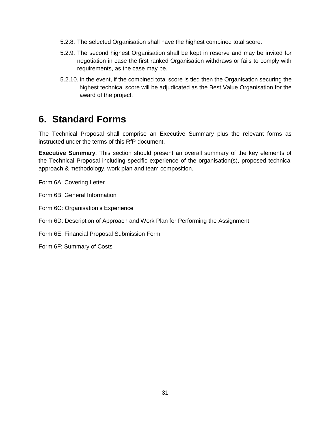- 5.2.8. The selected Organisation shall have the highest combined total score.
- 5.2.9. The second highest Organisation shall be kept in reserve and may be invited for negotiation in case the first ranked Organisation withdraws or fails to comply with requirements, as the case may be.
- 5.2.10. In the event, if the combined total score is tied then the Organisation securing the highest technical score will be adjudicated as the Best Value Organisation for the award of the project.

# **6. Standard Forms**

The Technical Proposal shall comprise an Executive Summary plus the relevant forms as instructed under the terms of this RfP document.

**Executive Summary**: This section should present an overall summary of the key elements of the Technical Proposal including specific experience of the organisation(s), proposed technical approach & methodology, work plan and team composition.

Form 6A: Covering Letter

Form 6B: General Information

Form 6C: Organisation's Experience

Form 6D: Description of Approach and Work Plan for Performing the Assignment

Form 6E: Financial Proposal Submission Form

Form 6F: Summary of Costs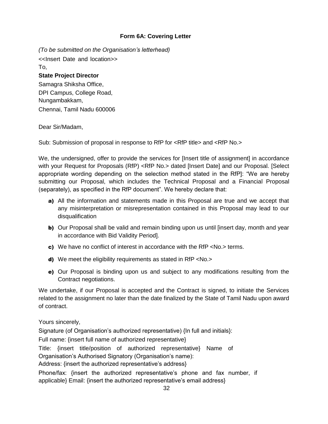#### **Form 6A: Covering Letter**

*(To be submitted on the Organisation's letterhead)*

<<Insert Date and location>> To,

#### **State Project Director**

Samagra Shiksha Office, DPI Campus, College Road, Nungambakkam, Chennai, Tamil Nadu 600006

#### Dear Sir/Madam,

Sub: Submission of proposal in response to RfP for <RfP title> and <RfP No.>

We, the undersigned, offer to provide the services for [Insert title of assignment] in accordance with your Request for Proposals (RfP) <RfP No.> dated [Insert Date] and our Proposal. [Select] appropriate wording depending on the selection method stated in the RfP]: "We are hereby submitting our Proposal, which includes the Technical Proposal and a Financial Proposal (separately), as specified in the RfP document". We hereby declare that:

- a) All the information and statements made in this Proposal are true and we accept that any misinterpretation or misrepresentation contained in this Proposal may lead to our disqualification
- b) Our Proposal shall be valid and remain binding upon us until [insert day, month and year in accordance with Bid Validity Period].
- c) We have no conflict of interest in accordance with the RfP <No.> terms.
- d) We meet the eligibility requirements as stated in RfP <No.>
- e) Our Proposal is binding upon us and subject to any modifications resulting from the Contract negotiations.

We undertake, if our Proposal is accepted and the Contract is signed, to initiate the Services related to the assignment no later than the date finalized by the State of Tamil Nadu upon award of contract.

Yours sincerely,

Signature (of Organisation's authorized representative) {In full and initials}:

Full name: {insert full name of authorized representative}

Title: {insert title/position of authorized representative} Name of Organisation's Authorised Signatory (Organisation's name):

Address: {insert the authorized representative's address}

Phone/fax: {insert the authorized representative's phone and fax number, if applicable} Email: {insert the authorized representative's email address}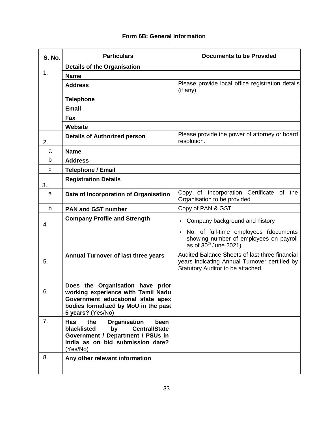#### **Form 6B: General Information**

| <b>S. No.</b> | <b>Particulars</b>                                                                                                                                                          | <b>Documents to be Provided</b>                                                                                                      |  |  |
|---------------|-----------------------------------------------------------------------------------------------------------------------------------------------------------------------------|--------------------------------------------------------------------------------------------------------------------------------------|--|--|
|               | <b>Details of the Organisation</b>                                                                                                                                          |                                                                                                                                      |  |  |
| 1.            | <b>Name</b>                                                                                                                                                                 |                                                                                                                                      |  |  |
|               | <b>Address</b>                                                                                                                                                              | Please provide local office registration details<br>(if any)                                                                         |  |  |
|               | <b>Telephone</b>                                                                                                                                                            |                                                                                                                                      |  |  |
|               | <b>Email</b>                                                                                                                                                                |                                                                                                                                      |  |  |
|               | Fax                                                                                                                                                                         |                                                                                                                                      |  |  |
|               | Website                                                                                                                                                                     |                                                                                                                                      |  |  |
| 2.            | <b>Details of Authorized person</b>                                                                                                                                         | Please provide the power of attorney or board<br>resolution.                                                                         |  |  |
| a             | <b>Name</b>                                                                                                                                                                 |                                                                                                                                      |  |  |
| b             | <b>Address</b>                                                                                                                                                              |                                                                                                                                      |  |  |
| C             | <b>Telephone / Email</b>                                                                                                                                                    |                                                                                                                                      |  |  |
| 3.5           | <b>Registration Details</b>                                                                                                                                                 |                                                                                                                                      |  |  |
| a             | Date of Incorporation of Organisation                                                                                                                                       | Copy of Incorporation Certificate of the<br>Organisation to be provided                                                              |  |  |
| b             | <b>PAN and GST number</b>                                                                                                                                                   | Copy of PAN & GST                                                                                                                    |  |  |
| 4.            | <b>Company Profile and Strength</b>                                                                                                                                         | Company background and history                                                                                                       |  |  |
|               |                                                                                                                                                                             | No. of full-time employees (documents<br>showing number of employees on payroll<br>as of $30^{th}$ June 2021)                        |  |  |
| 5.            | <b>Annual Turnover of last three years</b>                                                                                                                                  | Audited Balance Sheets of last three financial<br>years indicating Annual Turnover certified by<br>Statutory Auditor to be attached. |  |  |
| 6.            | Does the Organisation have prior<br>working experience with Tamil Nadu<br>Government educational state apex<br>bodies formalized by MoU in the past<br>5 years? (Yes/No)    |                                                                                                                                      |  |  |
| 7.            | Organisation<br>the<br><b>Has</b><br>been<br>blacklisted<br><b>Central/State</b><br>by<br>Government / Department / PSUs in<br>India as on bid submission date?<br>(Yes/No) |                                                                                                                                      |  |  |
| 8.            | Any other relevant information                                                                                                                                              |                                                                                                                                      |  |  |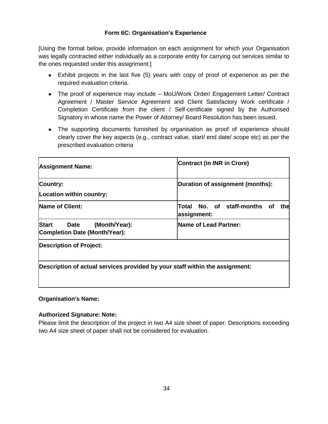#### **Form 6C: Organisation's Experience**

[Using the format below, provide information on each assignment for which your Organisation was legally contracted either individually as a corporate entity for carrying out services similar to the ones requested under this assignment.]

- Exhibit projects in the last five (5) years with copy of proof of experience as per the required evaluation criteria.
- The proof of experience may include MoU/Work Order/ Engagement Letter/ Contract Agreement / Master Service Agreement and Client Satisfactory Work certificate / Completion Certificate from the client / Self-certificate signed by the Authorised Signatory in whose name the Power of Attorney/ Board Resolution has been issued.
- The supporting documents furnished by organisation as proof of experience should clearly cover the key aspects (e.g., contract value, start/ end date/ scope etc) as per the prescribed evaluation criteria

| <b>Assignment Name:</b>                                                      | <b>Contract (in INR in Crore)</b>                  |
|------------------------------------------------------------------------------|----------------------------------------------------|
| Country:<br>Location within country:                                         | Duration of assignment (months):                   |
| <b>Name of Client:</b>                                                       | Total No. of staff-months of<br>the<br>assignment: |
| <b>Start</b><br>(Month/Year):<br>Date<br>Completion Date (Month/Year):       | <b>Name of Lead Partner:</b>                       |
| <b>Description of Project:</b>                                               |                                                    |
| Description of actual services provided by your staff within the assignment: |                                                    |

#### **Organisation's Name:**

#### **Authorized Signature: Note:**

Please limit the description of the project in two A4 size sheet of paper. Descriptions exceeding two A4 size sheet of paper shall not be considered for evaluation.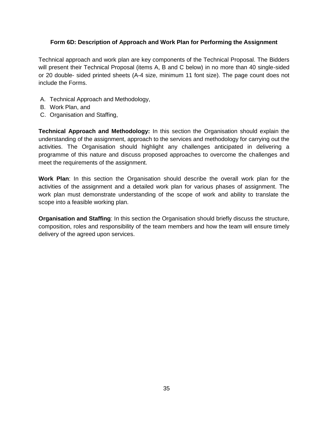#### **Form 6D: Description of Approach and Work Plan for Performing the Assignment**

Technical approach and work plan are key components of the Technical Proposal. The Bidders will present their Technical Proposal (items A, B and C below) in no more than 40 single-sided or 20 double- sided printed sheets (A-4 size, minimum 11 font size). The page count does not include the Forms.

- A. Technical Approach and Methodology,
- B. Work Plan, and
- C. Organisation and Staffing,

**Technical Approach and Methodology:** In this section the Organisation should explain the understanding of the assignment, approach to the services and methodology for carrying out the activities. The Organisation should highlight any challenges anticipated in delivering a programme of this nature and discuss proposed approaches to overcome the challenges and meet the requirements of the assignment.

**Work Plan**: In this section the Organisation should describe the overall work plan for the activities of the assignment and a detailed work plan for various phases of assignment. The work plan must demonstrate understanding of the scope of work and ability to translate the scope into a feasible working plan.

**Organisation and Staffing**: In this section the Organisation should briefly discuss the structure, composition, roles and responsibility of the team members and how the team will ensure timely delivery of the agreed upon services.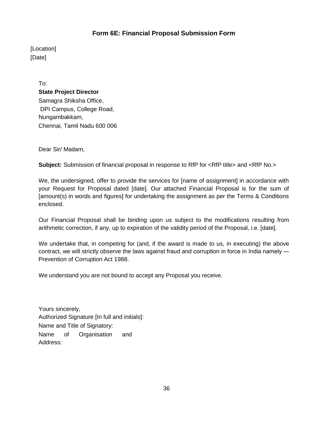### **Form 6E: Financial Proposal Submission Form**

[Location] [Date]

> To: **State Project Director**  Samagra Shiksha Office, DPI Campus, College Road, Nungambakkam, Chennai, Tamil Nadu 600 006

Dear Sir/ Madam,

**Subject:** Submission of financial proposal in response to RfP for <RfP title> and <RfP No.>

We, the undersigned, offer to provide the services for [name of assignment] in accordance with your Request for Proposal dated [date]. Our attached Financial Proposal is for the sum of [amount(s) in words and figures] for undertaking the assignment as per the Terms & Conditions enclosed.

Our Financial Proposal shall be binding upon us subject to the modifications resulting from arithmetic correction, if any, up to expiration of the validity period of the Proposal, i.e. [date].

We undertake that, in competing for (and, if the award is made to us, in executing) the above contract, we will strictly observe the laws against fraud and corruption in force in India namely ― Prevention of Corruption Act 1988.

We understand you are not bound to accept any Proposal you receive.

Yours sincerely, Authorized Signature [In full and initials]: Name and Title of Signatory: Name of Organisation and Address: